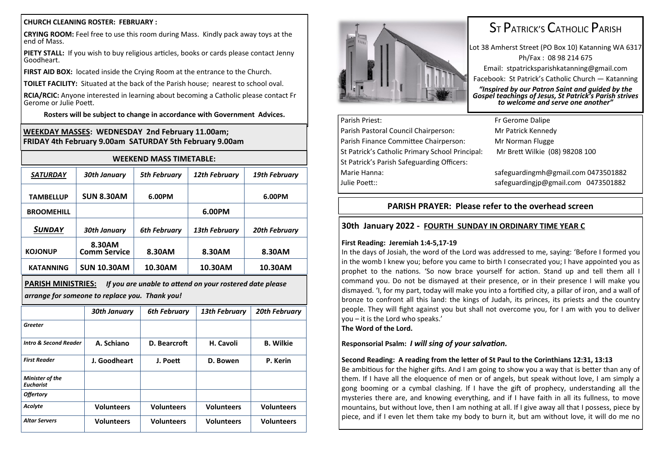#### **CHURCH CLEANING ROSTER: FEBRUARY :**

**CRYING ROOM:** Feel free to use this room during Mass. Kindly pack away toys at the end of Mass.

**PIETY STALL:** If you wish to buy religious articles, books or cards please contact Jenny Goodheart.

**FIRST AID BOX:** located inside the Crying Room at the entrance to the Church.

**TOILET FACILITY:** Situated at the back of the Parish house; nearest to school oval.

**RCIA/RCIC:** Anyone interested in learning about becoming a Catholic please contact Fr Gerome or Julie Poett.

**Rosters will be subject to change in accordance with Government Advices.**

### **WEEKDAY MASSES: WEDNESDAY 2nd February 11.00am; FRIDAY 4th February 9.00am SATURDAY 5th February 9.00am**

| <b>WEEKEND MASS TIMETABLE:</b>                                                                                                          |                               |                     |                      |                      |  |
|-----------------------------------------------------------------------------------------------------------------------------------------|-------------------------------|---------------------|----------------------|----------------------|--|
| <b>SATURDAY</b>                                                                                                                         | <b>30th January</b>           | <b>5th February</b> | <b>12th February</b> | <b>19th February</b> |  |
| <b>TAMBELLUP</b>                                                                                                                        | <b>SUN 8.30AM</b>             | 6.00PM              |                      | 6.00PM               |  |
| <b>BROOMEHILL</b>                                                                                                                       |                               |                     | 6.00PM               |                      |  |
| SUNDAY                                                                                                                                  | <b>30th January</b>           | <b>6th February</b> | <b>13th February</b> | <b>20th February</b> |  |
| <b>KOJONUP</b>                                                                                                                          | 8.30AM<br><b>Comm Service</b> | 8.30AM              | 8.30AM               | 8.30AM               |  |
| <b>KATANNING</b>                                                                                                                        | <b>SUN 10.30AM</b>            | 10.30AM             | 10.30AM              | 10.30AM              |  |
| <b>PARISH MINISTRIES:</b><br>If you are unable to attend on your rostered date please<br>arrange for someone to replace you. Thank you! |                               |                     |                      |                      |  |
|                                                                                                                                         | <b>30th January</b>           | <b>6th February</b> | <b>13th February</b> | <b>20th February</b> |  |
| Greeter                                                                                                                                 |                               |                     |                      |                      |  |
| <b>Intro &amp; Second Reader</b>                                                                                                        | A. Schiano                    | D. Bearcroft        | H. Cavoli            | <b>B.</b> Wilkie     |  |
| <b>First Reader</b>                                                                                                                     | J. Goodheart                  | J. Poett            | D. Bowen             | P. Kerin             |  |
| Minister of the<br><b>Eucharist</b>                                                                                                     |                               |                     |                      |                      |  |
| <b>Offertory</b>                                                                                                                        |                               |                     |                      |                      |  |
| Acolyte                                                                                                                                 | <b>Volunteers</b>             | <b>Volunteers</b>   | <b>Volunteers</b>    | <b>Volunteers</b>    |  |
| <b>Altar Servers</b>                                                                                                                    | <b>Volunteers</b>             | <b>Volunteers</b>   | <b>Volunteers</b>    | <b>Volunteers</b>    |  |



# ST PATRICK'S CATHOLIC PARISH

Lot 38 Amherst Street (PO Box 10) Katanning WA 6317 Ph/Fax : 08 98 214 675 Email: stpatricksparishkatanning@gmail.com Facebook: St Patrick's Catholic Church — Katanning

*"Inspired by our Patron Saint and guided by the Gospel teachings of Jesus, St Patrick's Parish strives to welcome and serve one another"*

| Parish Priest:                                  | Fr Gerome Dalipe                    |  |  |
|-------------------------------------------------|-------------------------------------|--|--|
| Parish Pastoral Council Chairperson:            | Mr Patrick Kennedy                  |  |  |
| Parish Finance Committee Chairperson:           | Mr Norman Flugge                    |  |  |
| St Patrick's Catholic Primary School Principal: | Mr Brett Wilkie (08) 98208 100      |  |  |
| St Patrick's Parish Safeguarding Officers:      |                                     |  |  |
| Marie Hanna:                                    | safeguardingmh@gmail.com 0473501882 |  |  |
| Julie Poett::                                   | safeguardingjp@gmail.com 0473501882 |  |  |
|                                                 |                                     |  |  |

## **PARISH PRAYER: Please refer to the overhead screen**

# **30th January 2022 - FOURTH SUNDAY IN ORDINARY TIME YEAR C**

#### **First Reading: Jeremiah 1:4-5,17-19**

In the days of Josiah, the word of the Lord was addressed to me, saying: 'Before I formed you in the womb I knew you; before you came to birth I consecrated you; I have appointed you as prophet to the nations. 'So now brace yourself for action. Stand up and tell them all I command you. Do not be dismayed at their presence, or in their presence I will make you dismayed. 'I, for my part, today will make you into a fortified city, a pillar of iron, and a wall of bronze to confront all this land: the kings of Judah, its princes, its priests and the country people. They will fight against you but shall not overcome you, for I am with you to deliver you – it is the Lord who speaks.'

**The Word of the Lord.**

**Responsorial Psalm:** *I will sing of your salvation.*

### **Second Reading: A reading from the letter of St Paul to the Corinthians 12:31, 13:13**

Be ambitious for the higher gifts. And I am going to show you a way that is better than any of them. If I have all the eloquence of men or of angels, but speak without love, I am simply a gong booming or a cymbal clashing. If I have the gift of prophecy, understanding all the mysteries there are, and knowing everything, and if I have faith in all its fullness, to move mountains, but without love, then I am nothing at all. If I give away all that I possess, piece by piece, and if I even let them take my body to burn it, but am without love, it will do me no